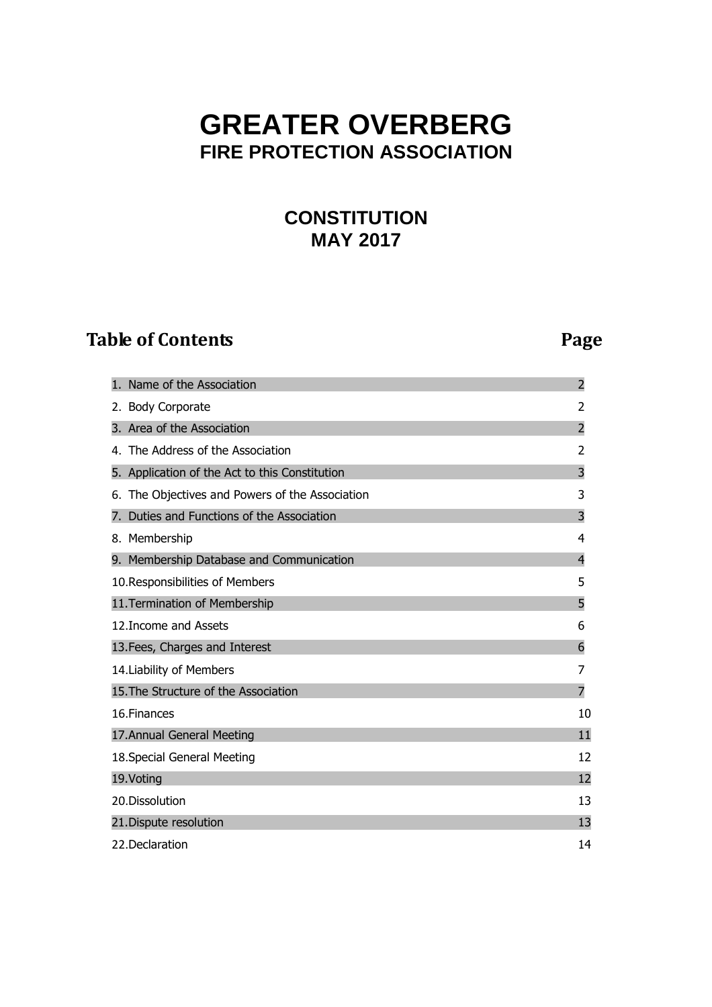# **GREATER OVERBERG FIRE PROTECTION ASSOCIATION**

## **CONSTITUTION MAY 2017**

## **Table of Contents** Page **Page 2014**

| Name of the Association                            | $\overline{2}$ |
|----------------------------------------------------|----------------|
| 2. Body Corporate                                  | 2              |
| 3. Area of the Association                         | $\overline{2}$ |
| 4. The Address of the Association                  | 2              |
| 5. Application of the Act to this Constitution     | 3              |
| The Objectives and Powers of the Association<br>6. | 3              |
| Duties and Functions of the Association            | 3              |
| 8. Membership                                      | 4              |
| 9. Membership Database and Communication           | $\overline{4}$ |
| 10. Responsibilities of Members                    | 5              |
| 11. Termination of Membership                      | 5              |
| 12. Income and Assets                              | 6              |
| 13. Fees, Charges and Interest                     | 6              |
| 14. Liability of Members                           | 7              |
| 15. The Structure of the Association               | 7              |
| 16.Finances                                        | 10             |
| 17. Annual General Meeting                         | 11             |
| 18. Special General Meeting                        | 12             |
| 19. Voting                                         | 12             |
| 20.Dissolution                                     | 13             |
| 21. Dispute resolution                             | 13             |
| 22. Declaration                                    | 14             |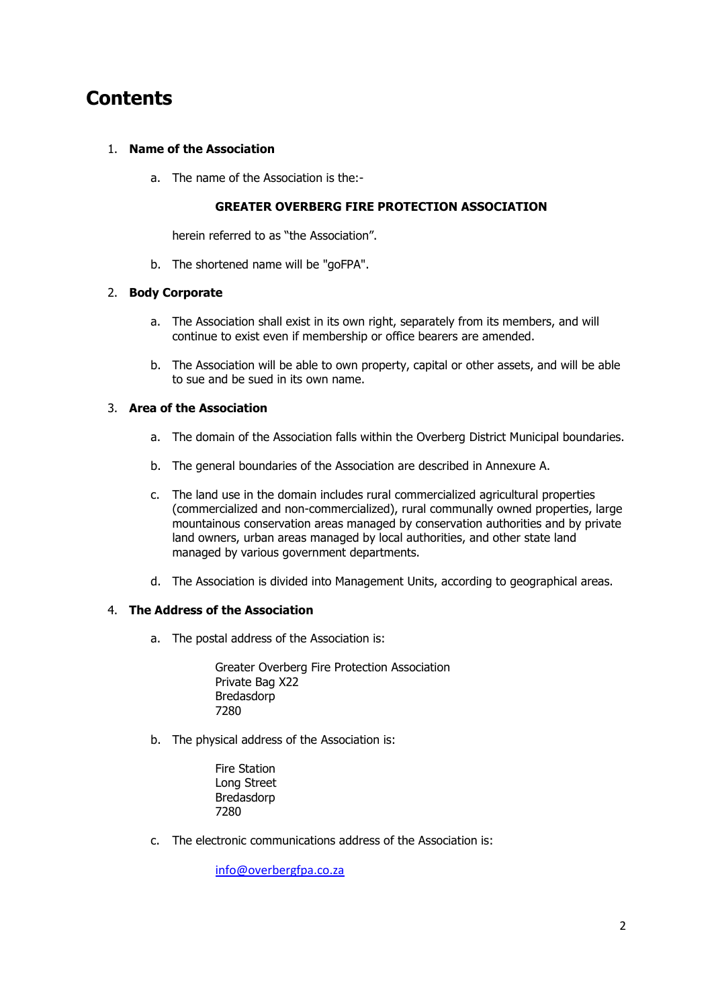## **Contents**

#### 1. **Name of the Association**

a. The name of the Association is the:-

#### **GREATER OVERBERG FIRE PROTECTION ASSOCIATION**

herein referred to as "the Association".

b. The shortened name will be "goFPA".

#### 2. **Body Corporate**

- a. The Association shall exist in its own right, separately from its members, and will continue to exist even if membership or office bearers are amended.
- b. The Association will be able to own property, capital or other assets, and will be able to sue and be sued in its own name.

#### 3. **Area of the Association**

- a. The domain of the Association falls within the Overberg District Municipal boundaries.
- b. The general boundaries of the Association are described in Annexure A.
- c. The land use in the domain includes rural commercialized agricultural properties (commercialized and non-commercialized), rural communally owned properties, large mountainous conservation areas managed by conservation authorities and by private land owners, urban areas managed by local authorities, and other state land managed by various government departments.
- d. The Association is divided into Management Units, according to geographical areas.

#### 4. **The Address of the Association**

a. The postal address of the Association is:

Greater Overberg Fire Protection Association Private Bag X22 Bredasdorp 7280

- b. The physical address of the Association is:
	- Fire Station Long Street Bredasdorp 7280
- c. The electronic communications address of the Association is:

info@overbergfpa.co.za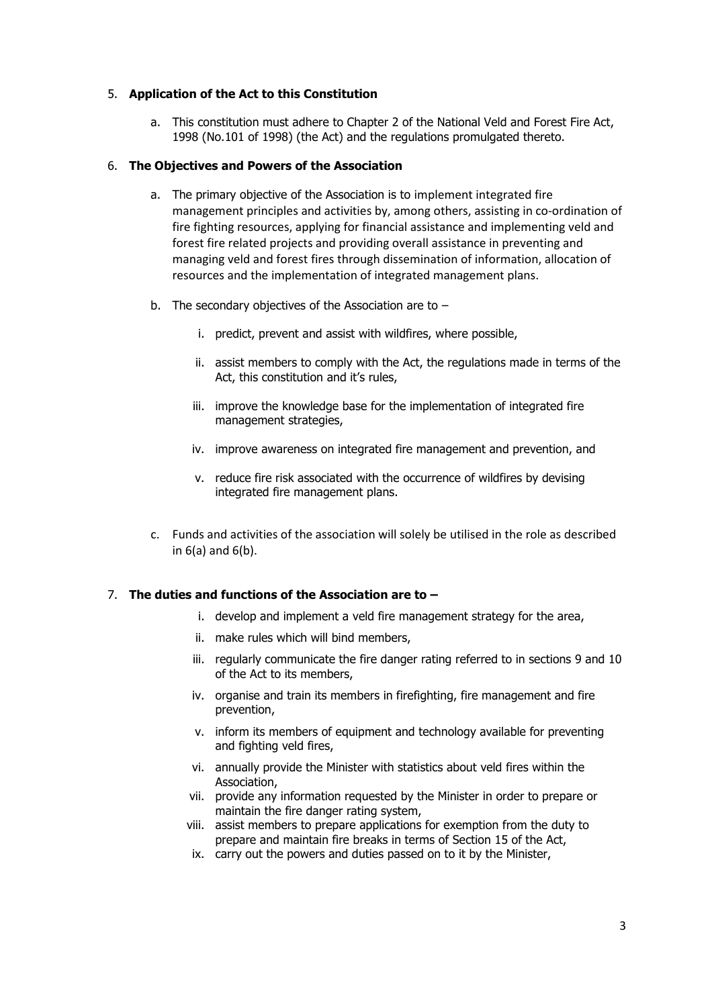#### 5. **Application of the Act to this Constitution**

a. This constitution must adhere to Chapter 2 of the National Veld and Forest Fire Act, 1998 (No.101 of 1998) (the Act) and the regulations promulgated thereto.

#### 6. **The Objectives and Powers of the Association**

- a. The primary objective of the Association is to implement integrated fire management principles and activities by, among others, assisting in co-ordination of fire fighting resources, applying for financial assistance and implementing veld and forest fire related projects and providing overall assistance in preventing and managing veld and forest fires through dissemination of information, allocation of resources and the implementation of integrated management plans.
- b. The secondary objectives of the Association are to  $$ 
	- i. predict, prevent and assist with wildfires, where possible,
	- ii. assist members to comply with the Act, the regulations made in terms of the Act, this constitution and it's rules,
	- iii. improve the knowledge base for the implementation of integrated fire management strategies,
	- iv. improve awareness on integrated fire management and prevention, and
	- v. reduce fire risk associated with the occurrence of wildfires by devising integrated fire management plans.
- c. Funds and activities of the association will solely be utilised in the role as described in 6(a) and 6(b).

### 7. **The duties and functions of the Association are to –**

- i. develop and implement a veld fire management strategy for the area,
- ii. make rules which will bind members,
- iii. regularly communicate the fire danger rating referred to in sections 9 and 10 of the Act to its members,
- iv. organise and train its members in firefighting, fire management and fire prevention,
- v. inform its members of equipment and technology available for preventing and fighting veld fires,
- vi. annually provide the Minister with statistics about veld fires within the Association,
- vii. provide any information requested by the Minister in order to prepare or maintain the fire danger rating system,
- viii. assist members to prepare applications for exemption from the duty to prepare and maintain fire breaks in terms of Section 15 of the Act,
- ix. carry out the powers and duties passed on to it by the Minister,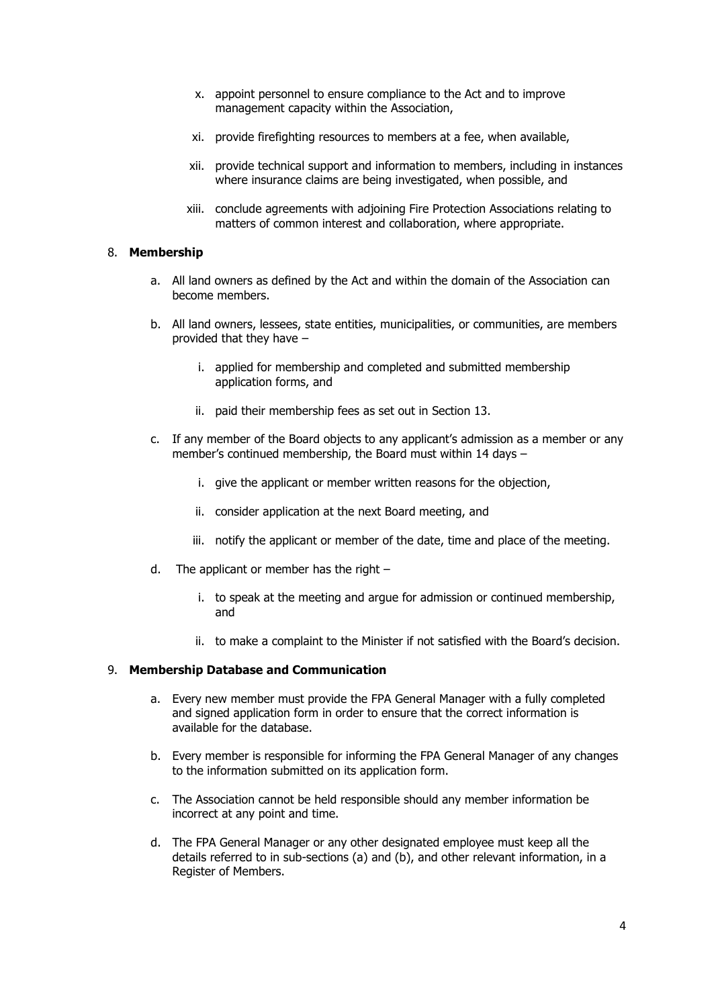- x. appoint personnel to ensure compliance to the Act and to improve management capacity within the Association,
- xi. provide firefighting resources to members at a fee, when available,
- xii. provide technical support and information to members, including in instances where insurance claims are being investigated, when possible, and
- xiii. conclude agreements with adjoining Fire Protection Associations relating to matters of common interest and collaboration, where appropriate.

#### 8. **Membership**

- a. All land owners as defined by the Act and within the domain of the Association can become members.
- b. All land owners, lessees, state entities, municipalities, or communities, are members provided that they have –
	- i. applied for membership and completed and submitted membership application forms, and
	- ii. paid their membership fees as set out in Section 13.
- c. If any member of the Board objects to any applicant's admission as a member or any member's continued membership, the Board must within 14 days –
	- i. give the applicant or member written reasons for the objection,
	- ii. consider application at the next Board meeting, and
	- iii. notify the applicant or member of the date, time and place of the meeting.
- d. The applicant or member has the right
	- i. to speak at the meeting and argue for admission or continued membership, and
	- ii. to make a complaint to the Minister if not satisfied with the Board's decision.

#### 9. **Membership Database and Communication**

- a. Every new member must provide the FPA General Manager with a fully completed and signed application form in order to ensure that the correct information is available for the database.
- b. Every member is responsible for informing the FPA General Manager of any changes to the information submitted on its application form.
- c. The Association cannot be held responsible should any member information be incorrect at any point and time.
- d. The FPA General Manager or any other designated employee must keep all the details referred to in sub-sections (a) and (b), and other relevant information, in a Register of Members.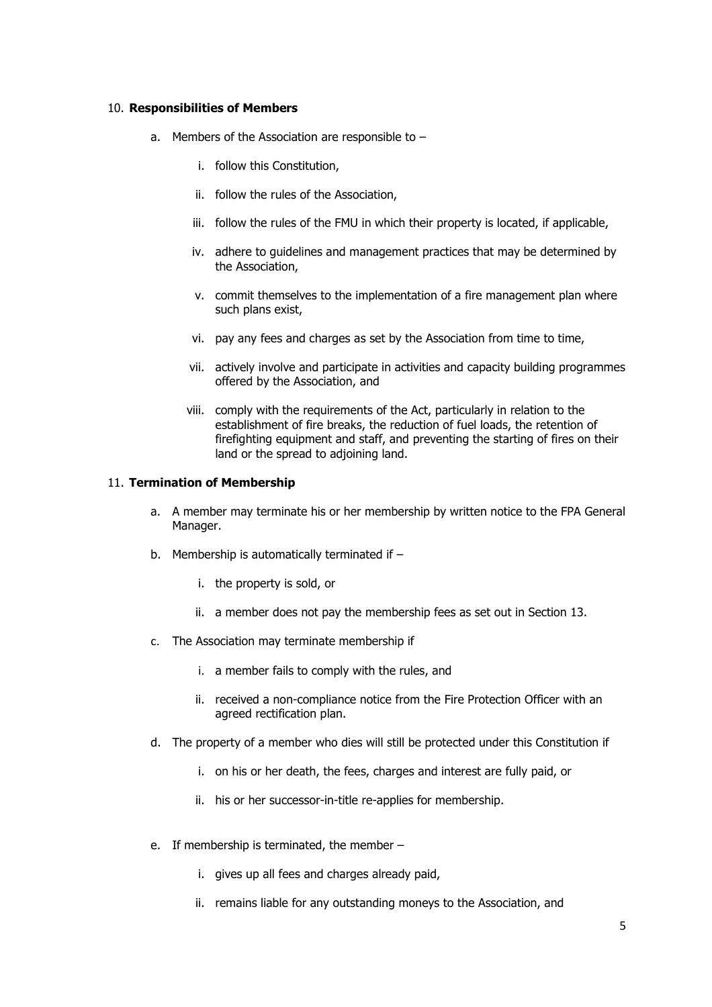#### 10. **Responsibilities of Members**

- a. Members of the Association are responsible to
	- i. follow this Constitution,
	- ii. follow the rules of the Association,
	- iii. follow the rules of the FMU in which their property is located, if applicable,
	- iv. adhere to guidelines and management practices that may be determined by the Association,
	- v. commit themselves to the implementation of a fire management plan where such plans exist,
	- vi. pay any fees and charges as set by the Association from time to time,
	- vii. actively involve and participate in activities and capacity building programmes offered by the Association, and
	- viii. comply with the requirements of the Act, particularly in relation to the establishment of fire breaks, the reduction of fuel loads, the retention of firefighting equipment and staff, and preventing the starting of fires on their land or the spread to adjoining land.

#### 11. **Termination of Membership**

- a. A member may terminate his or her membership by written notice to the FPA General Manager.
- b. Membership is automatically terminated if  $$ 
	- i. the property is sold, or
	- ii. a member does not pay the membership fees as set out in Section 13.
- c. The Association may terminate membership if
	- i. a member fails to comply with the rules, and
	- ii. received a non-compliance notice from the Fire Protection Officer with an agreed rectification plan.
- d. The property of a member who dies will still be protected under this Constitution if
	- i. on his or her death, the fees, charges and interest are fully paid, or
	- ii. his or her successor-in-title re-applies for membership.
- e. If membership is terminated, the member
	- i. gives up all fees and charges already paid,
	- ii. remains liable for any outstanding moneys to the Association, and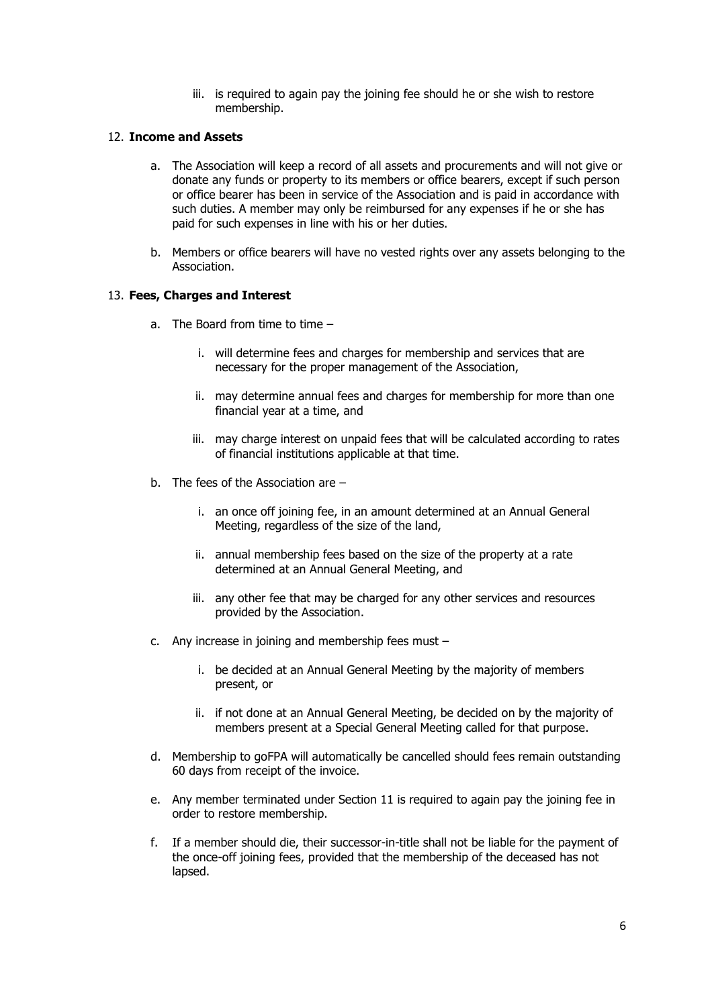iii. is required to again pay the joining fee should he or she wish to restore membership.

#### 12. **Income and Assets**

- a. The Association will keep a record of all assets and procurements and will not give or donate any funds or property to its members or office bearers, except if such person or office bearer has been in service of the Association and is paid in accordance with such duties. A member may only be reimbursed for any expenses if he or she has paid for such expenses in line with his or her duties.
- b. Members or office bearers will have no vested rights over any assets belonging to the Association.

#### 13. **Fees, Charges and Interest**

- a. The Board from time to time
	- i. will determine fees and charges for membership and services that are necessary for the proper management of the Association,
	- ii. may determine annual fees and charges for membership for more than one financial year at a time, and
	- iii. may charge interest on unpaid fees that will be calculated according to rates of financial institutions applicable at that time.
- b. The fees of the Association are
	- i. an once off joining fee, in an amount determined at an Annual General Meeting, regardless of the size of the land,
	- ii. annual membership fees based on the size of the property at a rate determined at an Annual General Meeting, and
	- iii. any other fee that may be charged for any other services and resources provided by the Association.
- c. Any increase in joining and membership fees must
	- i. be decided at an Annual General Meeting by the majority of members present, or
	- ii. if not done at an Annual General Meeting, be decided on by the majority of members present at a Special General Meeting called for that purpose.
- d. Membership to goFPA will automatically be cancelled should fees remain outstanding 60 days from receipt of the invoice.
- e. Any member terminated under Section 11 is required to again pay the joining fee in order to restore membership.
- f. If a member should die, their successor-in-title shall not be liable for the payment of the once-off joining fees, provided that the membership of the deceased has not lapsed.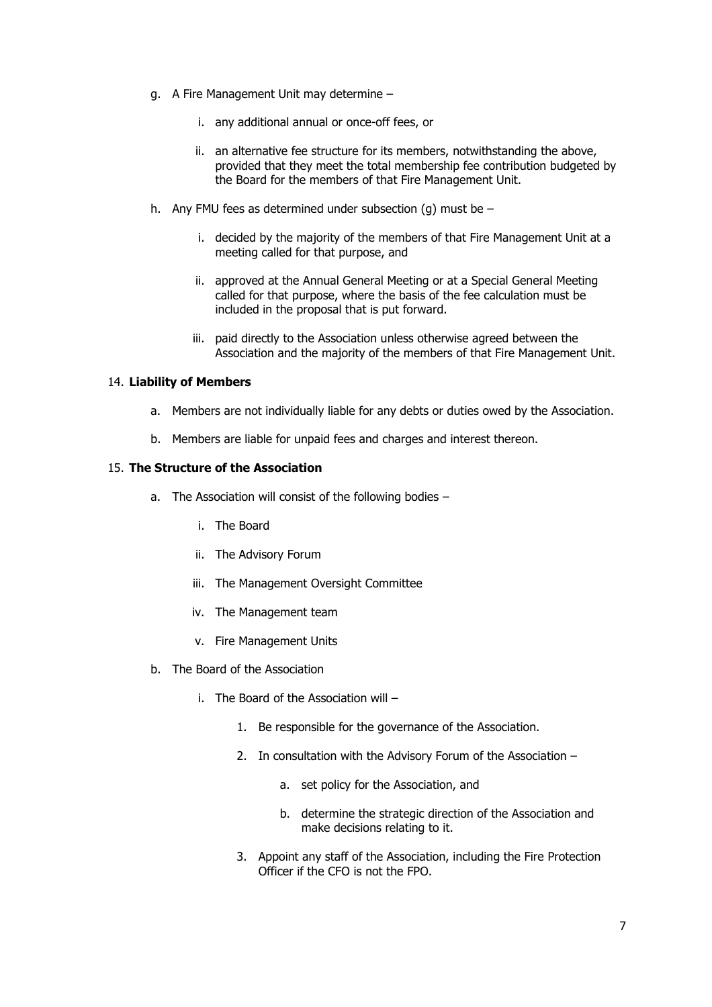- g. A Fire Management Unit may determine
	- i. any additional annual or once-off fees, or
	- ii. an alternative fee structure for its members, notwithstanding the above, provided that they meet the total membership fee contribution budgeted by the Board for the members of that Fire Management Unit.
- h. Any FMU fees as determined under subsection (q) must be  $$ 
	- i. decided by the majority of the members of that Fire Management Unit at a meeting called for that purpose, and
	- ii. approved at the Annual General Meeting or at a Special General Meeting called for that purpose, where the basis of the fee calculation must be included in the proposal that is put forward.
	- iii. paid directly to the Association unless otherwise agreed between the Association and the majority of the members of that Fire Management Unit.

#### 14. **Liability of Members**

- a. Members are not individually liable for any debts or duties owed by the Association.
- b. Members are liable for unpaid fees and charges and interest thereon.

#### 15. **The Structure of the Association**

- a. The Association will consist of the following bodies
	- i. The Board
	- ii. The Advisory Forum
	- iii. The Management Oversight Committee
	- iv. The Management team
	- v. Fire Management Units
- b. The Board of the Association
	- i. The Board of the Association will
		- 1. Be responsible for the governance of the Association.
		- 2. In consultation with the Advisory Forum of the Association
			- a. set policy for the Association, and
			- b. determine the strategic direction of the Association and make decisions relating to it.
		- 3. Appoint any staff of the Association, including the Fire Protection Officer if the CFO is not the FPO.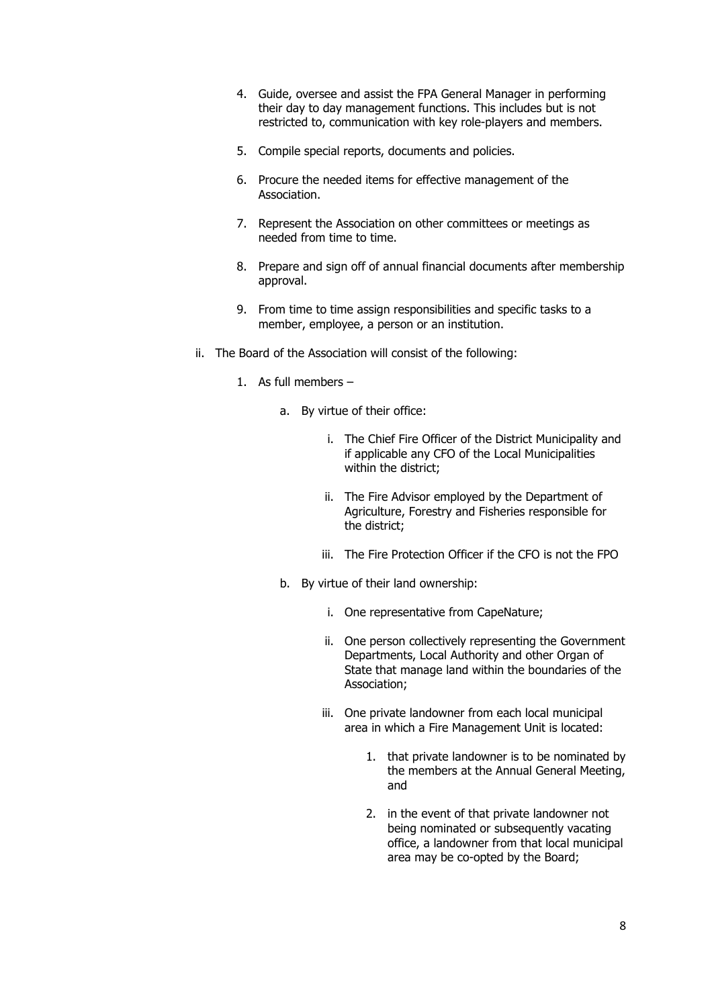- 4. Guide, oversee and assist the FPA General Manager in performing their day to day management functions. This includes but is not restricted to, communication with key role-players and members.
- 5. Compile special reports, documents and policies.
- 6. Procure the needed items for effective management of the Association.
- 7. Represent the Association on other committees or meetings as needed from time to time.
- 8. Prepare and sign off of annual financial documents after membership approval.
- 9. From time to time assign responsibilities and specific tasks to a member, employee, a person or an institution.
- ii. The Board of the Association will consist of the following:
	- 1. As full members
		- a. By virtue of their office:
			- i. The Chief Fire Officer of the District Municipality and if applicable any CFO of the Local Municipalities within the district;
			- ii. The Fire Advisor employed by the Department of Agriculture, Forestry and Fisheries responsible for the district;
			- iii. The Fire Protection Officer if the CFO is not the FPO
		- b. By virtue of their land ownership:
			- i. One representative from CapeNature;
			- ii. One person collectively representing the Government Departments, Local Authority and other Organ of State that manage land within the boundaries of the Association;
			- iii. One private landowner from each local municipal area in which a Fire Management Unit is located:
				- 1. that private landowner is to be nominated by the members at the Annual General Meeting, and
				- 2. in the event of that private landowner not being nominated or subsequently vacating office, a landowner from that local municipal area may be co-opted by the Board;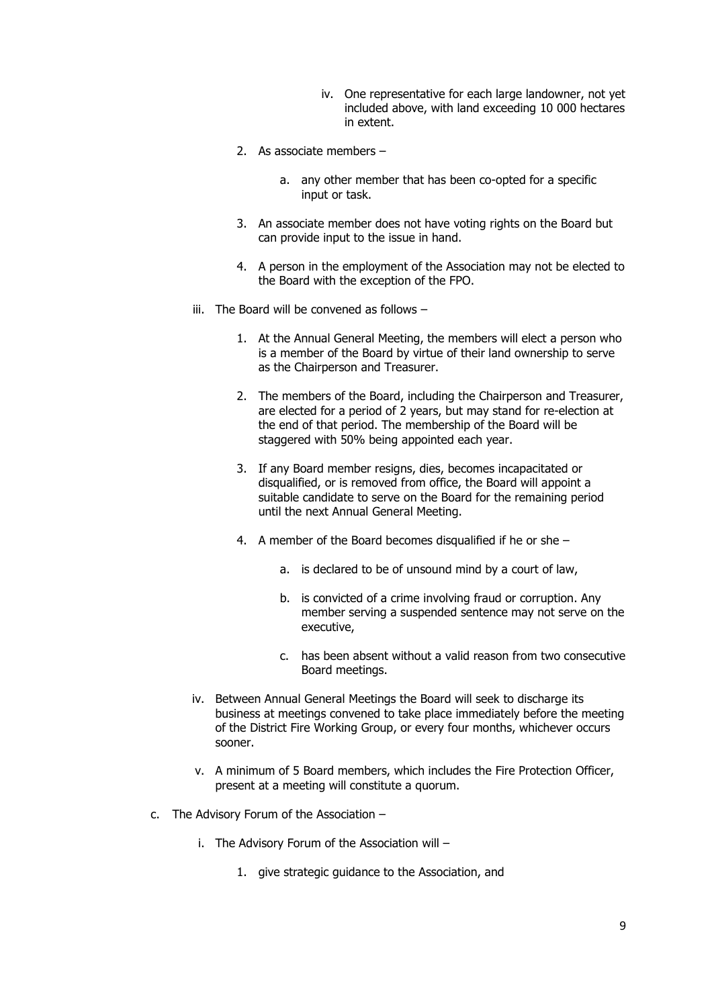- iv. One representative for each large landowner, not yet included above, with land exceeding 10 000 hectares in extent.
- 2. As associate members
	- a. any other member that has been co-opted for a specific input or task.
- 3. An associate member does not have voting rights on the Board but can provide input to the issue in hand.
- 4. A person in the employment of the Association may not be elected to the Board with the exception of the FPO.
- iii. The Board will be convened as follows
	- 1. At the Annual General Meeting, the members will elect a person who is a member of the Board by virtue of their land ownership to serve as the Chairperson and Treasurer.
	- 2. The members of the Board, including the Chairperson and Treasurer, are elected for a period of 2 years, but may stand for re-election at the end of that period. The membership of the Board will be staggered with 50% being appointed each year.
	- 3. If any Board member resigns, dies, becomes incapacitated or disqualified, or is removed from office, the Board will appoint a suitable candidate to serve on the Board for the remaining period until the next Annual General Meeting.
	- 4. A member of the Board becomes disqualified if he or she
		- a. is declared to be of unsound mind by a court of law,
		- b. is convicted of a crime involving fraud or corruption. Any member serving a suspended sentence may not serve on the executive,
		- c. has been absent without a valid reason from two consecutive Board meetings.
- iv. Between Annual General Meetings the Board will seek to discharge its business at meetings convened to take place immediately before the meeting of the District Fire Working Group, or every four months, whichever occurs sooner.
- v. A minimum of 5 Board members, which includes the Fire Protection Officer, present at a meeting will constitute a quorum.
- c. The Advisory Forum of the Association
	- i. The Advisory Forum of the Association will
		- 1. give strategic guidance to the Association, and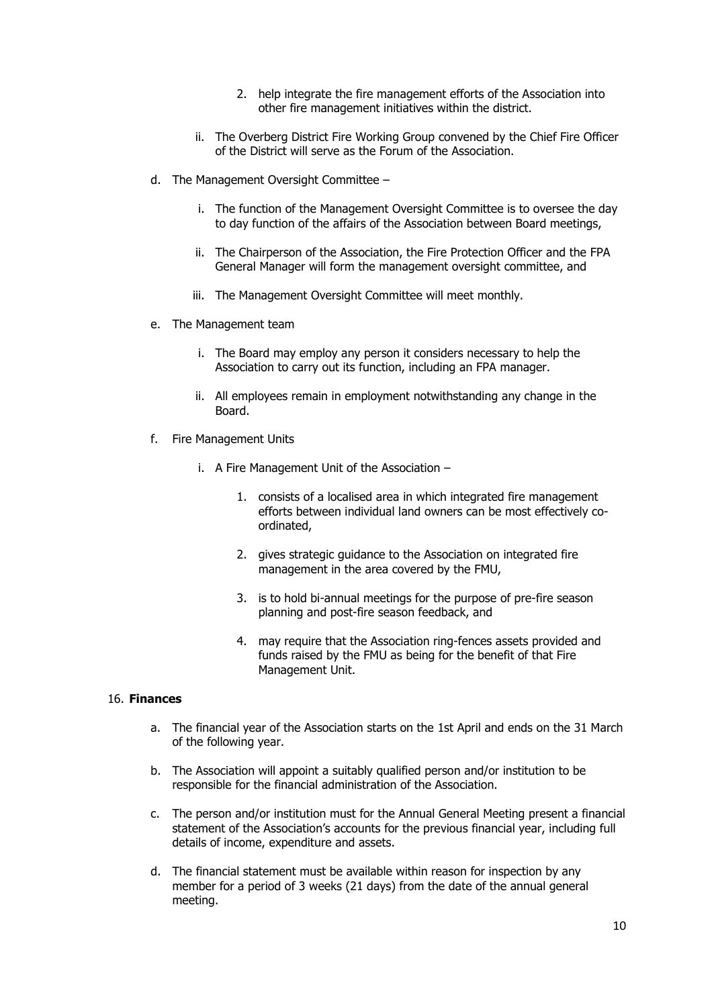- 2. help integrate the fire management efforts of the Association into other fire management initiatives within the district.
- ii. The Overberg District Fire Working Group convened by the Chief Fire Officer of the District will serve as the Forum of the Association.
- d. The Management Oversight Committee
	- i. The function of the Management Oversight Committee is to oversee the day to day function of the affairs of the Association between Board meetings,
	- ii. The Chairperson of the Association, the Fire Protection Officer and the FPA General Manager will form the management oversight committee, and
	- iii. The Management Oversight Committee will meet monthly.
- e. The Management team
	- i. The Board may employ any person it considers necessary to help the Association to carry out its function, including an FPA manager.
	- ii. All employees remain in employment notwithstanding any change in the Board.
- f. Fire Management Units
	- i. A Fire Management Unit of the Association
		- 1. consists of a localised area in which integrated fire management efforts between individual land owners can be most effectively coordinated,
		- 2. gives strategic guidance to the Association on integrated fire management in the area covered by the FMU,
		- 3. is to hold bi-annual meetings for the purpose of pre-fire season planning and post-fire season feedback, and
		- 4. may require that the Association ring-fences assets provided and funds raised by the FMU as being for the benefit of that Fire Management Unit.

#### 16. **Finances**

- a. The financial year of the Association starts on the 1st April and ends on the 31 March of the following year.
- b. The Association will appoint a suitably qualified person and/or institution to be responsible for the financial administration of the Association.
- c. The person and/or institution must for the Annual General Meeting present a financial statement of the Association's accounts for the previous financial year, including full details of income, expenditure and assets.
- d. The financial statement must be available within reason for inspection by any member for a period of 3 weeks (21 days) from the date of the annual general meeting.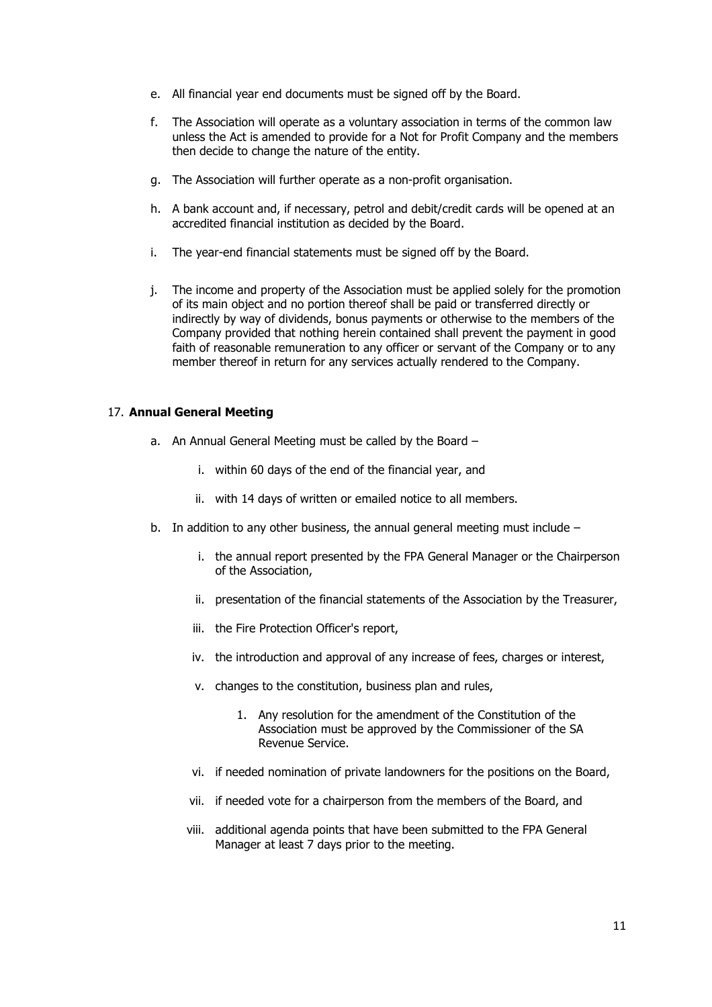- e. All financial year end documents must be signed off by the Board.
- f. The Association will operate as a voluntary association in terms of the common law unless the Act is amended to provide for a Not for Profit Company and the members then decide to change the nature of the entity.
- g. The Association will further operate as a non-profit organisation.
- h. A bank account and, if necessary, petrol and debit/credit cards will be opened at an accredited financial institution as decided by the Board.
- i. The year-end financial statements must be signed off by the Board.
- j. The income and property of the Association must be applied solely for the promotion of its main object and no portion thereof shall be paid or transferred directly or indirectly by way of dividends, bonus payments or otherwise to the members of the Company provided that nothing herein contained shall prevent the payment in good faith of reasonable remuneration to any officer or servant of the Company or to any member thereof in return for any services actually rendered to the Company.

#### 17. **Annual General Meeting**

- a. An Annual General Meeting must be called by the Board
	- i. within 60 days of the end of the financial year, and
	- ii. with 14 days of written or emailed notice to all members.
- b. In addition to any other business, the annual general meeting must include
	- i. the annual report presented by the FPA General Manager or the Chairperson of the Association,
	- ii. presentation of the financial statements of the Association by the Treasurer,
	- iii. the Fire Protection Officer's report,
	- iv. the introduction and approval of any increase of fees, charges or interest,
	- v. changes to the constitution, business plan and rules,
		- 1. Any resolution for the amendment of the Constitution of the Association must be approved by the Commissioner of the SA Revenue Service.
	- vi. if needed nomination of private landowners for the positions on the Board,
	- vii. if needed vote for a chairperson from the members of the Board, and
	- viii. additional agenda points that have been submitted to the FPA General Manager at least 7 days prior to the meeting.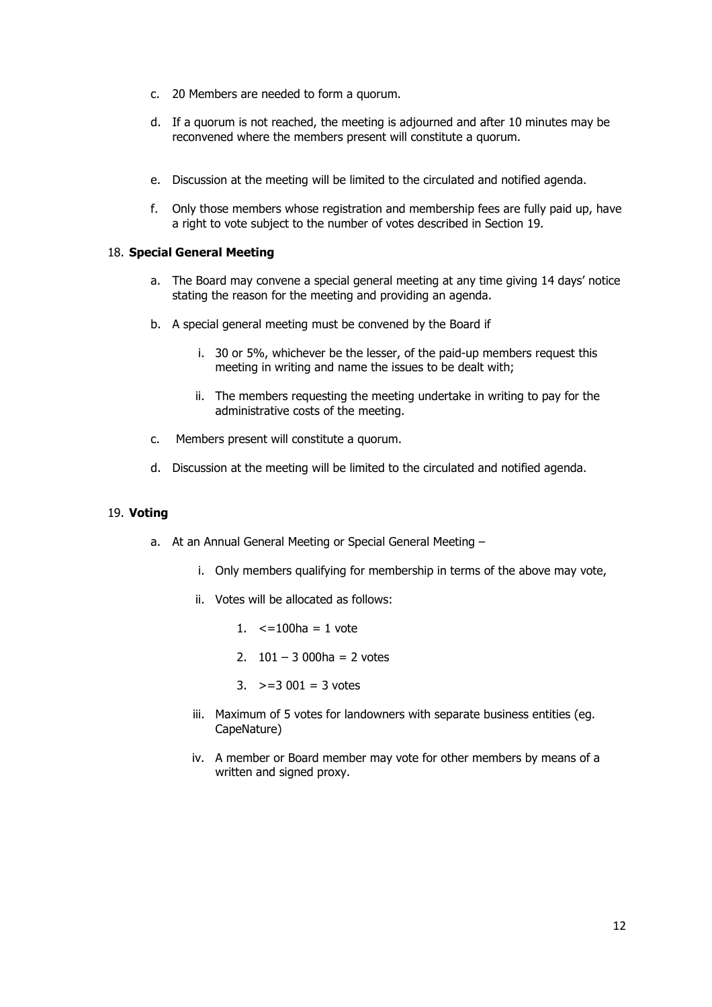- c. 20 Members are needed to form a quorum.
- d. If a quorum is not reached, the meeting is adjourned and after 10 minutes may be reconvened where the members present will constitute a quorum.
- e. Discussion at the meeting will be limited to the circulated and notified agenda.
- f. Only those members whose registration and membership fees are fully paid up, have a right to vote subject to the number of votes described in Section 19.

#### 18. **Special General Meeting**

- a. The Board may convene a special general meeting at any time giving 14 days' notice stating the reason for the meeting and providing an agenda.
- b. A special general meeting must be convened by the Board if
	- i. 30 or 5%, whichever be the lesser, of the paid-up members request this meeting in writing and name the issues to be dealt with;
	- ii. The members requesting the meeting undertake in writing to pay for the administrative costs of the meeting.
- c. Members present will constitute a quorum.
- d. Discussion at the meeting will be limited to the circulated and notified agenda.

#### 19. **Voting**

- a. At an Annual General Meeting or Special General Meeting
	- i. Only members qualifying for membership in terms of the above may vote,
	- ii. Votes will be allocated as follows:
		- 1.  $\leq 100$ ha = 1 vote
		- 2.  $101 3000$ ha = 2 votes
		- 3.  $>=$  3 001 = 3 votes
	- iii. Maximum of 5 votes for landowners with separate business entities (eg. CapeNature)
	- iv. A member or Board member may vote for other members by means of a written and signed proxy.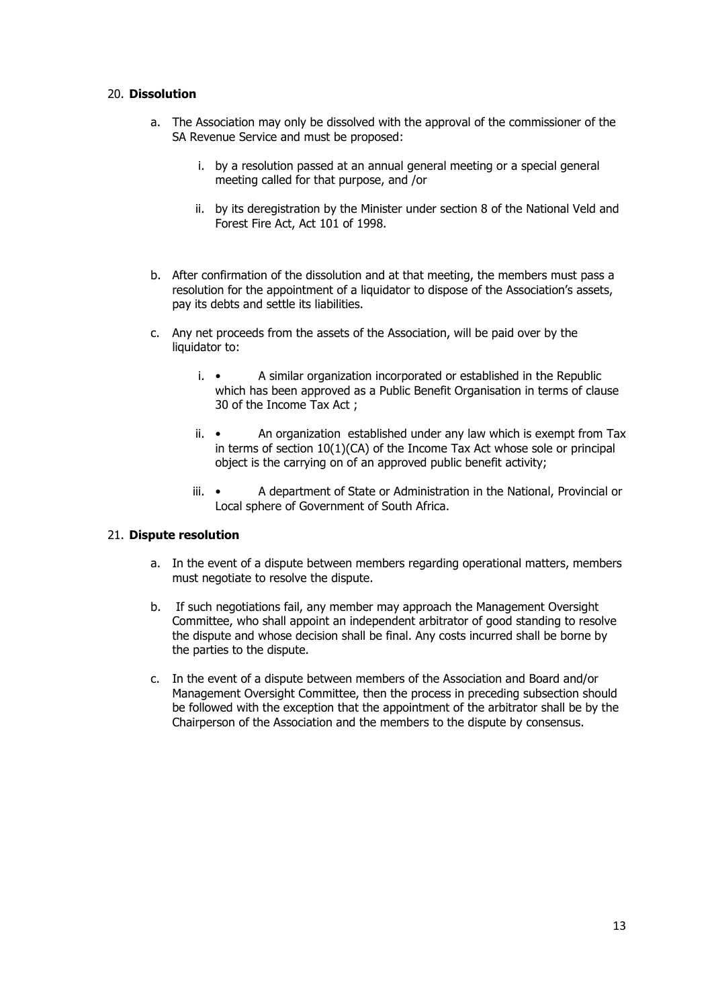#### 20. **Dissolution**

- a. The Association may only be dissolved with the approval of the commissioner of the SA Revenue Service and must be proposed:
	- i. by a resolution passed at an annual general meeting or a special general meeting called for that purpose, and /or
	- ii. by its deregistration by the Minister under section 8 of the National Veld and Forest Fire Act, Act 101 of 1998.
- b. After confirmation of the dissolution and at that meeting, the members must pass a resolution for the appointment of a liquidator to dispose of the Association's assets, pay its debts and settle its liabilities.
- c. Any net proceeds from the assets of the Association, will be paid over by the liquidator to:
	- i. A similar organization incorporated or established in the Republic which has been approved as a Public Benefit Organisation in terms of clause 30 of the Income Tax Act ;
	- ii. An organization established under any law which is exempt from Tax in terms of section 10(1)(CA) of the Income Tax Act whose sole or principal object is the carrying on of an approved public benefit activity;
	- iii. A department of State or Administration in the National, Provincial or Local sphere of Government of South Africa.

#### 21. **Dispute resolution**

- a. In the event of a dispute between members regarding operational matters, members must negotiate to resolve the dispute.
- b. If such negotiations fail, any member may approach the Management Oversight Committee, who shall appoint an independent arbitrator of good standing to resolve the dispute and whose decision shall be final. Any costs incurred shall be borne by the parties to the dispute.
- c. In the event of a dispute between members of the Association and Board and/or Management Oversight Committee, then the process in preceding subsection should be followed with the exception that the appointment of the arbitrator shall be by the Chairperson of the Association and the members to the dispute by consensus.